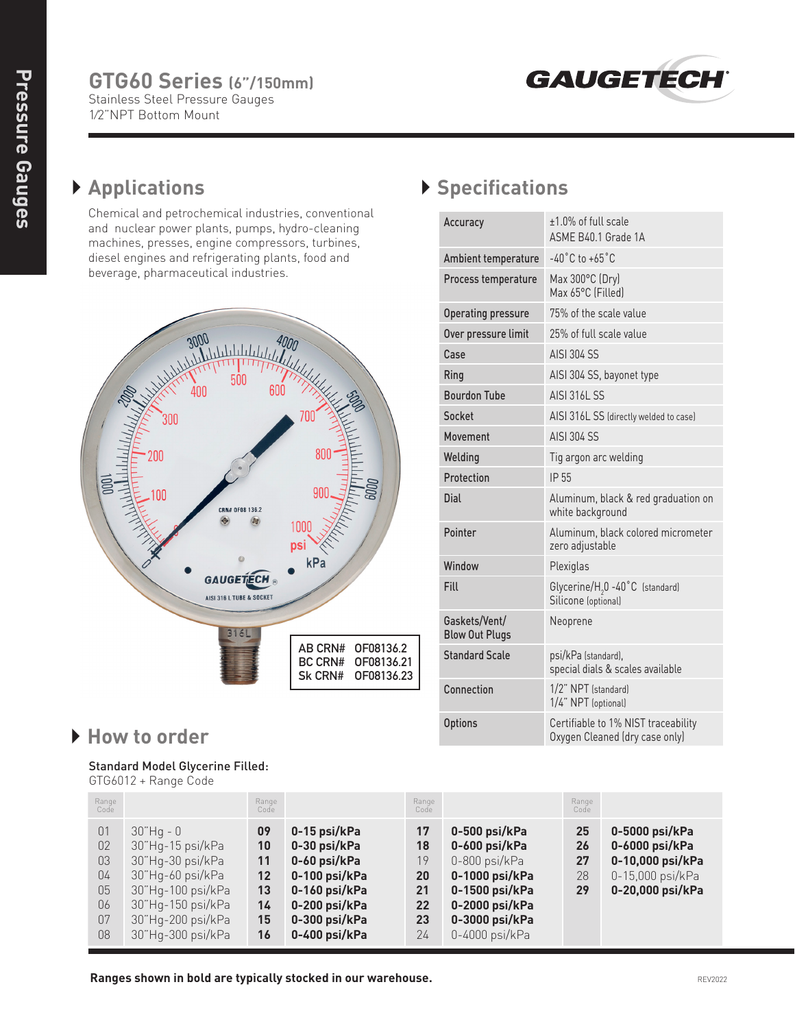

## } **Applications**

Chemical and petrochemical industries, conventional and nuclear power plants, pumps, hydro-cleaning machines, presses, engine compressors, turbines, diesel engines and refrigerating plants, food and beverage, pharmaceutical industries.



## } **How to order**

## Standard Model Glycerine Filled:

GTG6012 + Range Code

## } **Specifications**

| Accuracy                               | +1.0% of full scale<br>ASMF B40.1 Grade 1A                            |
|----------------------------------------|-----------------------------------------------------------------------|
| Ambient temperature                    | $-40^{\circ}$ C to $+65^{\circ}$ C                                    |
| Process temperature                    | Max 300°C (Dry)<br>Max 65°C (Filled)                                  |
| Operating pressure                     | 75% of the scale value                                                |
| Over pressure limit                    | 25% of full scale value                                               |
| Case                                   | AISI 304 SS                                                           |
| Ring                                   | AISI 304 SS, bayonet type                                             |
| <b>Bourdon Tube</b>                    | <b>AISI 316L SS</b>                                                   |
| Socket                                 | AISI 316L SS (directly welded to case)                                |
| Movement                               | <b>AISI 304 SS</b>                                                    |
| Welding                                | Tig argon arc welding                                                 |
| Protection                             | IP 55                                                                 |
| Dial                                   | Aluminum, black & red graduation on<br>white background               |
| Pointer                                | Aluminum, black colored micrometer<br>zero adjustable                 |
| Window                                 | Plexiglas                                                             |
| Fill                                   | Glycerine/H <sub>2</sub> 0 -40°C (standard)<br>Silicone (optional)    |
| Gaskets/Vent/<br><b>Blow Out Plugs</b> | Neoprene                                                              |
| <b>Standard Scale</b>                  | psi/kPa (standard),<br>special dials & scales available               |
| Connection                             | 1/2" NPT (standard)<br>1/4" NPT (optional)                            |
| <b>Options</b>                         | Certifiable to 1% NIST traceability<br>Oxygen Cleaned (dry case only) |

| Range<br>Code                                |                                                                                                                                                              | Range<br>Code                                     |                                                                                                                                   | Range<br>Code                                |                                                                                                                                           | Range<br>Code              |                                                                                              |
|----------------------------------------------|--------------------------------------------------------------------------------------------------------------------------------------------------------------|---------------------------------------------------|-----------------------------------------------------------------------------------------------------------------------------------|----------------------------------------------|-------------------------------------------------------------------------------------------------------------------------------------------|----------------------------|----------------------------------------------------------------------------------------------|
| 01<br>02<br>03<br>04<br>05<br>06<br>07<br>08 | $30"$ Hq - 0<br>30"Hq-15 psi/kPa<br>30"Hq-30 psi/kPa<br>30"Hq-60 psi/kPa<br>30"Hq-100 psi/kPa<br>30"Hq-150 psi/kPa<br>30"Hg-200 psi/kPa<br>30"Hq-300 psi/kPa | 09<br>10<br>11<br>$12 \,$<br>13<br>14<br>15<br>16 | 0-15 psi/kPa<br>0-30 psi/kPa<br>0-60 psi/kPa<br>0-100 psi/kPa<br>0-160 psi/kPa<br>0-200 psi/kPa<br>0-300 psi/kPa<br>0-400 psi/kPa | 17<br>18<br>19<br>20<br>21<br>22<br>23<br>24 | 0-500 psi/kPa<br>0-600 psi/kPa<br>0-800 psi/kPa<br>0-1000 psi/kPa<br>0-1500 psi/kPa<br>0-2000 psi/kPa<br>0-3000 psi/kPa<br>0-4000 psi/kPa | 25<br>26<br>27<br>28<br>29 | 0-5000 psi/kPa<br>0-6000 psi/kPa<br>0-10,000 psi/kPa<br>0-15,000 psi/kPa<br>0-20,000 psi/kPa |

**Ranges shown in bold are typically stocked in our warehouse.** And the state of the state of the REV2022